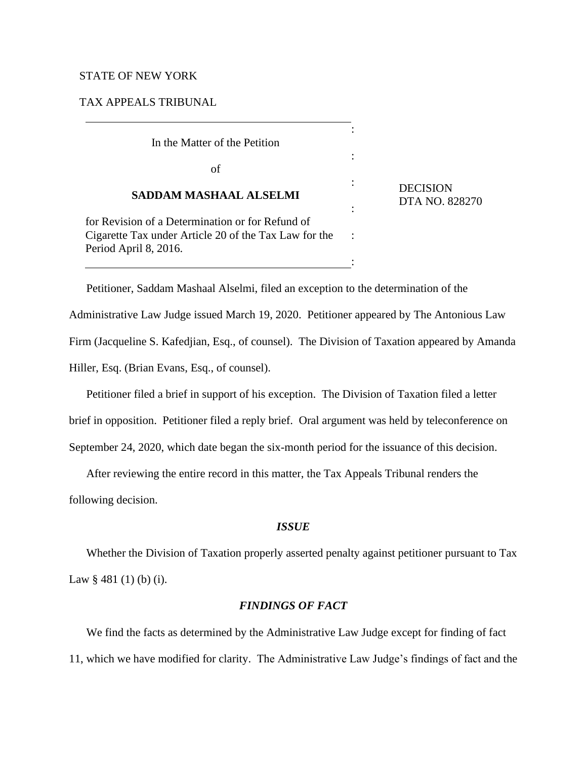## STATE OF NEW YORK

TAX APPEALS TRIBUNAL

| In the Matter of the Petition                                                                                                      | ٠ |                                   |
|------------------------------------------------------------------------------------------------------------------------------------|---|-----------------------------------|
| of                                                                                                                                 |   |                                   |
| <b>SADDAM MASHAAL ALSELMI</b>                                                                                                      |   | <b>DECISION</b><br>DTA NO. 828270 |
| for Revision of a Determination or for Refund of<br>Cigarette Tax under Article 20 of the Tax Law for the<br>Period April 8, 2016. |   |                                   |
|                                                                                                                                    |   |                                   |

Petitioner, Saddam Mashaal Alselmi, filed an exception to the determination of the Administrative Law Judge issued March 19, 2020. Petitioner appeared by The Antonious Law Firm (Jacqueline S. Kafedjian, Esq., of counsel). The Division of Taxation appeared by Amanda Hiller, Esq. (Brian Evans, Esq., of counsel).

Petitioner filed a brief in support of his exception. The Division of Taxation filed a letter brief in opposition. Petitioner filed a reply brief. Oral argument was held by teleconference on September 24, 2020, which date began the six-month period for the issuance of this decision.

After reviewing the entire record in this matter, the Tax Appeals Tribunal renders the

following decision.

## *ISSUE*

Whether the Division of Taxation properly asserted penalty against petitioner pursuant to Tax Law § 481 (1) (b) (i).

# *FINDINGS OF FACT*

We find the facts as determined by the Administrative Law Judge except for finding of fact 11, which we have modified for clarity. The Administrative Law Judge's findings of fact and the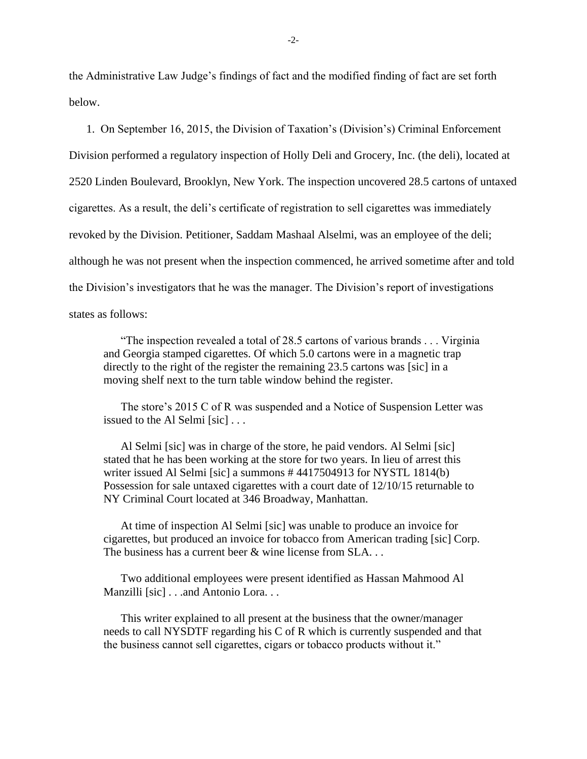the Administrative Law Judge's findings of fact and the modified finding of fact are set forth below.

1. On September 16, 2015, the Division of Taxation's (Division's) Criminal Enforcement Division performed a regulatory inspection of Holly Deli and Grocery, Inc. (the deli), located at 2520 Linden Boulevard, Brooklyn, New York. The inspection uncovered 28.5 cartons of untaxed cigarettes. As a result, the deli's certificate of registration to sell cigarettes was immediately revoked by the Division. Petitioner, Saddam Mashaal Alselmi, was an employee of the deli; although he was not present when the inspection commenced, he arrived sometime after and told the Division's investigators that he was the manager. The Division's report of investigations states as follows:

"The inspection revealed a total of 28.5 cartons of various brands . . . Virginia and Georgia stamped cigarettes. Of which 5.0 cartons were in a magnetic trap directly to the right of the register the remaining 23.5 cartons was [sic] in a moving shelf next to the turn table window behind the register.

The store's 2015 C of R was suspended and a Notice of Suspension Letter was issued to the Al Selmi [sic] . . .

Al Selmi [sic] was in charge of the store, he paid vendors. Al Selmi [sic] stated that he has been working at the store for two years. In lieu of arrest this writer issued Al Selmi [sic] a summons #4417504913 for NYSTL 1814(b) Possession for sale untaxed cigarettes with a court date of 12/10/15 returnable to NY Criminal Court located at 346 Broadway, Manhattan.

At time of inspection Al Selmi [sic] was unable to produce an invoice for cigarettes, but produced an invoice for tobacco from American trading [sic] Corp. The business has a current beer & wine license from SLA. . .

Two additional employees were present identified as Hassan Mahmood Al Manzilli [sic] . . .and Antonio Lora. . .

This writer explained to all present at the business that the owner/manager needs to call NYSDTF regarding his C of R which is currently suspended and that the business cannot sell cigarettes, cigars or tobacco products without it."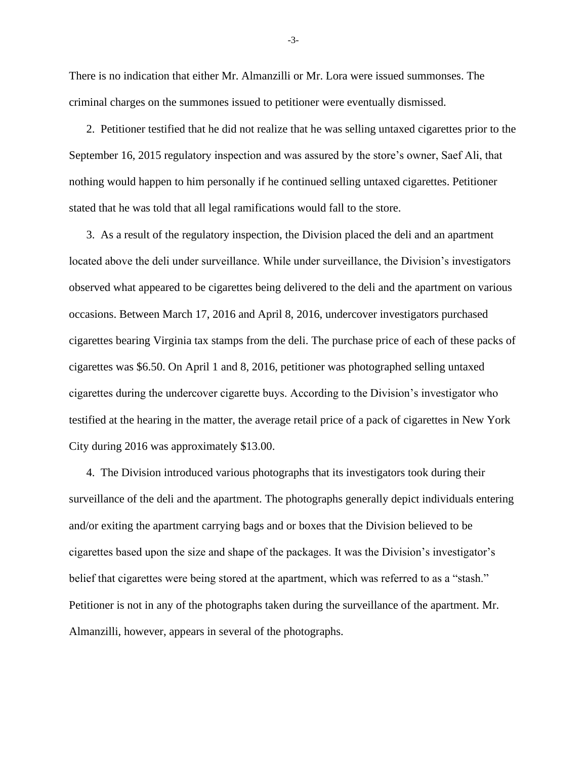There is no indication that either Mr. Almanzilli or Mr. Lora were issued summonses. The criminal charges on the summones issued to petitioner were eventually dismissed.

2. Petitioner testified that he did not realize that he was selling untaxed cigarettes prior to the September 16, 2015 regulatory inspection and was assured by the store's owner, Saef Ali, that nothing would happen to him personally if he continued selling untaxed cigarettes. Petitioner stated that he was told that all legal ramifications would fall to the store.

3. As a result of the regulatory inspection, the Division placed the deli and an apartment located above the deli under surveillance. While under surveillance, the Division's investigators observed what appeared to be cigarettes being delivered to the deli and the apartment on various occasions. Between March 17, 2016 and April 8, 2016, undercover investigators purchased cigarettes bearing Virginia tax stamps from the deli. The purchase price of each of these packs of cigarettes was \$6.50. On April 1 and 8, 2016, petitioner was photographed selling untaxed cigarettes during the undercover cigarette buys. According to the Division's investigator who testified at the hearing in the matter, the average retail price of a pack of cigarettes in New York City during 2016 was approximately \$13.00.

4. The Division introduced various photographs that its investigators took during their surveillance of the deli and the apartment. The photographs generally depict individuals entering and/or exiting the apartment carrying bags and or boxes that the Division believed to be cigarettes based upon the size and shape of the packages. It was the Division's investigator's belief that cigarettes were being stored at the apartment, which was referred to as a "stash." Petitioner is not in any of the photographs taken during the surveillance of the apartment. Mr. Almanzilli, however, appears in several of the photographs.

-3-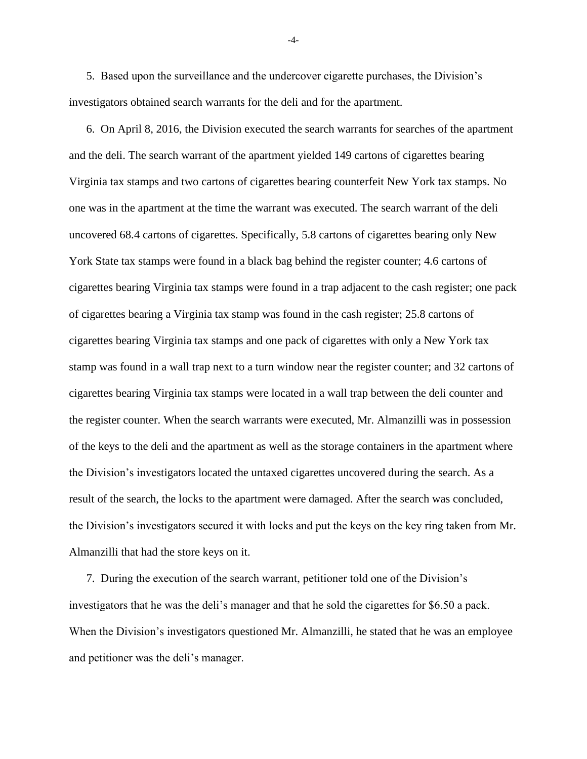5. Based upon the surveillance and the undercover cigarette purchases, the Division's investigators obtained search warrants for the deli and for the apartment.

6. On April 8, 2016, the Division executed the search warrants for searches of the apartment and the deli. The search warrant of the apartment yielded 149 cartons of cigarettes bearing Virginia tax stamps and two cartons of cigarettes bearing counterfeit New York tax stamps. No one was in the apartment at the time the warrant was executed. The search warrant of the deli uncovered 68.4 cartons of cigarettes. Specifically, 5.8 cartons of cigarettes bearing only New York State tax stamps were found in a black bag behind the register counter; 4.6 cartons of cigarettes bearing Virginia tax stamps were found in a trap adjacent to the cash register; one pack of cigarettes bearing a Virginia tax stamp was found in the cash register; 25.8 cartons of cigarettes bearing Virginia tax stamps and one pack of cigarettes with only a New York tax stamp was found in a wall trap next to a turn window near the register counter; and 32 cartons of cigarettes bearing Virginia tax stamps were located in a wall trap between the deli counter and the register counter. When the search warrants were executed, Mr. Almanzilli was in possession of the keys to the deli and the apartment as well as the storage containers in the apartment where the Division's investigators located the untaxed cigarettes uncovered during the search. As a result of the search, the locks to the apartment were damaged. After the search was concluded, the Division's investigators secured it with locks and put the keys on the key ring taken from Mr. Almanzilli that had the store keys on it.

7. During the execution of the search warrant, petitioner told one of the Division's investigators that he was the deli's manager and that he sold the cigarettes for \$6.50 a pack. When the Division's investigators questioned Mr. Almanzilli, he stated that he was an employee and petitioner was the deli's manager.

-4-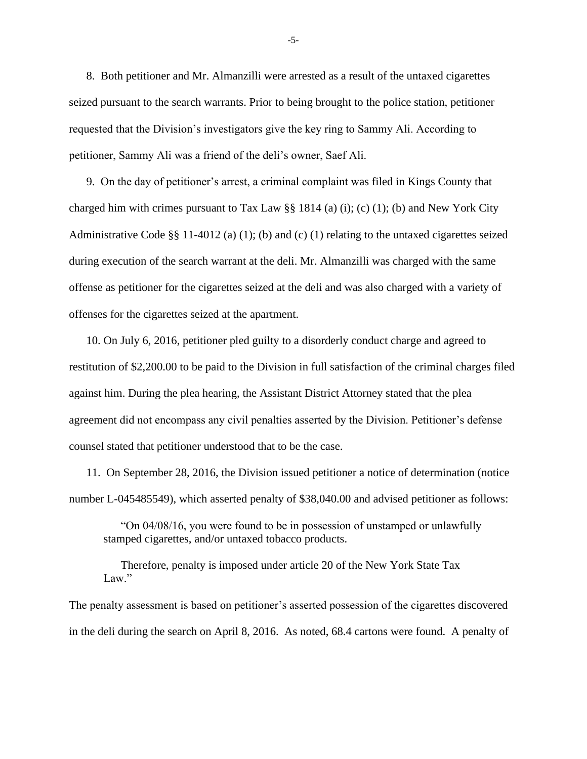8. Both petitioner and Mr. Almanzilli were arrested as a result of the untaxed cigarettes seized pursuant to the search warrants. Prior to being brought to the police station, petitioner requested that the Division's investigators give the key ring to Sammy Ali. According to petitioner, Sammy Ali was a friend of the deli's owner, Saef Ali.

9. On the day of petitioner's arrest, a criminal complaint was filed in Kings County that charged him with crimes pursuant to Tax Law §§ 1814 (a) (i); (c) (1); (b) and New York City Administrative Code §§ 11-4012 (a) (1); (b) and (c) (1) relating to the untaxed cigarettes seized during execution of the search warrant at the deli. Mr. Almanzilli was charged with the same offense as petitioner for the cigarettes seized at the deli and was also charged with a variety of offenses for the cigarettes seized at the apartment.

10. On July 6, 2016, petitioner pled guilty to a disorderly conduct charge and agreed to restitution of \$2,200.00 to be paid to the Division in full satisfaction of the criminal charges filed against him. During the plea hearing, the Assistant District Attorney stated that the plea agreement did not encompass any civil penalties asserted by the Division. Petitioner's defense counsel stated that petitioner understood that to be the case.

11. On September 28, 2016, the Division issued petitioner a notice of determination (notice number L-045485549), which asserted penalty of \$38,040.00 and advised petitioner as follows:

"On 04/08/16, you were found to be in possession of unstamped or unlawfully stamped cigarettes, and/or untaxed tobacco products.

Therefore, penalty is imposed under article 20 of the New York State Tax Law."

The penalty assessment is based on petitioner's asserted possession of the cigarettes discovered in the deli during the search on April 8, 2016. As noted, 68.4 cartons were found. A penalty of

-5-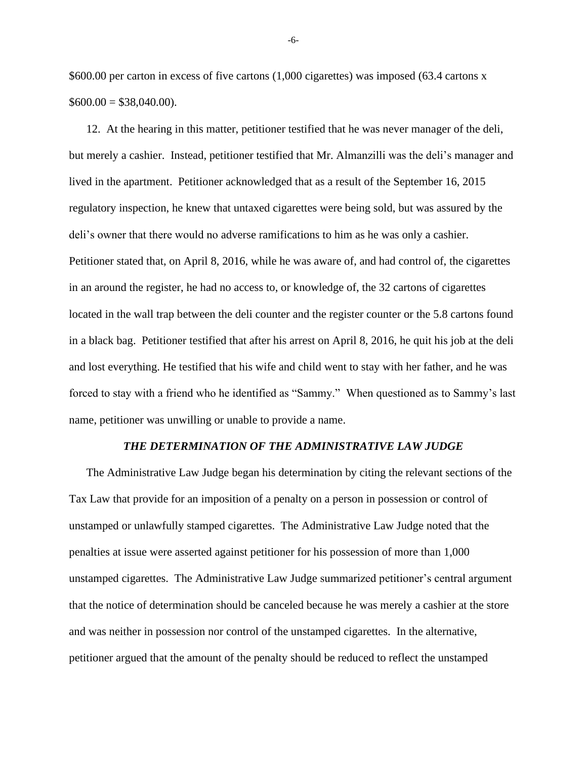\$600.00 per carton in excess of five cartons (1,000 cigarettes) was imposed (63.4 cartons x  $$600.00 = $38,040.00$ .

12. At the hearing in this matter, petitioner testified that he was never manager of the deli, but merely a cashier. Instead, petitioner testified that Mr. Almanzilli was the deli's manager and lived in the apartment. Petitioner acknowledged that as a result of the September 16, 2015 regulatory inspection, he knew that untaxed cigarettes were being sold, but was assured by the deli's owner that there would no adverse ramifications to him as he was only a cashier. Petitioner stated that, on April 8, 2016, while he was aware of, and had control of, the cigarettes in an around the register, he had no access to, or knowledge of, the 32 cartons of cigarettes located in the wall trap between the deli counter and the register counter or the 5.8 cartons found in a black bag. Petitioner testified that after his arrest on April 8, 2016, he quit his job at the deli and lost everything. He testified that his wife and child went to stay with her father, and he was forced to stay with a friend who he identified as "Sammy." When questioned as to Sammy's last name, petitioner was unwilling or unable to provide a name.

#### *THE DETERMINATION OF THE ADMINISTRATIVE LAW JUDGE*

The Administrative Law Judge began his determination by citing the relevant sections of the Tax Law that provide for an imposition of a penalty on a person in possession or control of unstamped or unlawfully stamped cigarettes. The Administrative Law Judge noted that the penalties at issue were asserted against petitioner for his possession of more than 1,000 unstamped cigarettes. The Administrative Law Judge summarized petitioner's central argument that the notice of determination should be canceled because he was merely a cashier at the store and was neither in possession nor control of the unstamped cigarettes. In the alternative, petitioner argued that the amount of the penalty should be reduced to reflect the unstamped

-6-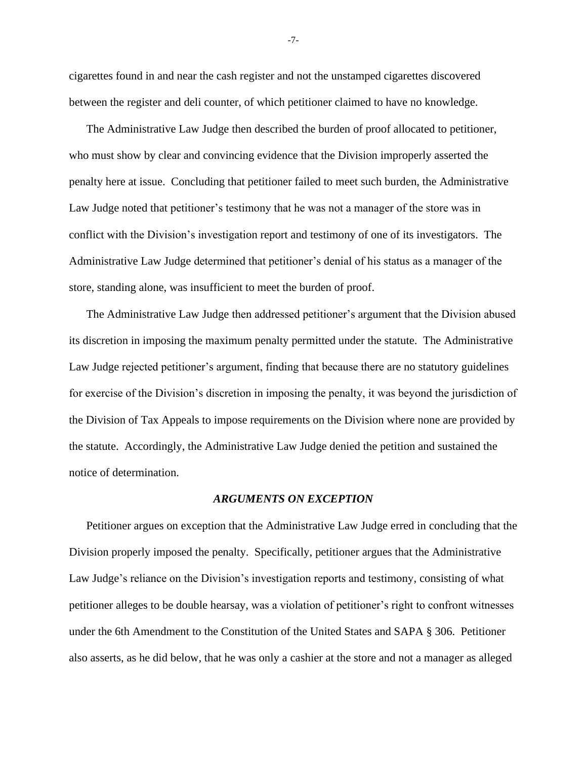cigarettes found in and near the cash register and not the unstamped cigarettes discovered between the register and deli counter, of which petitioner claimed to have no knowledge.

The Administrative Law Judge then described the burden of proof allocated to petitioner, who must show by clear and convincing evidence that the Division improperly asserted the penalty here at issue. Concluding that petitioner failed to meet such burden, the Administrative Law Judge noted that petitioner's testimony that he was not a manager of the store was in conflict with the Division's investigation report and testimony of one of its investigators. The Administrative Law Judge determined that petitioner's denial of his status as a manager of the store, standing alone, was insufficient to meet the burden of proof.

The Administrative Law Judge then addressed petitioner's argument that the Division abused its discretion in imposing the maximum penalty permitted under the statute. The Administrative Law Judge rejected petitioner's argument, finding that because there are no statutory guidelines for exercise of the Division's discretion in imposing the penalty, it was beyond the jurisdiction of the Division of Tax Appeals to impose requirements on the Division where none are provided by the statute. Accordingly, the Administrative Law Judge denied the petition and sustained the notice of determination.

### *ARGUMENTS ON EXCEPTION*

Petitioner argues on exception that the Administrative Law Judge erred in concluding that the Division properly imposed the penalty. Specifically, petitioner argues that the Administrative Law Judge's reliance on the Division's investigation reports and testimony, consisting of what petitioner alleges to be double hearsay, was a violation of petitioner's right to confront witnesses under the 6th Amendment to the Constitution of the United States and SAPA § 306. Petitioner also asserts, as he did below, that he was only a cashier at the store and not a manager as alleged

-7-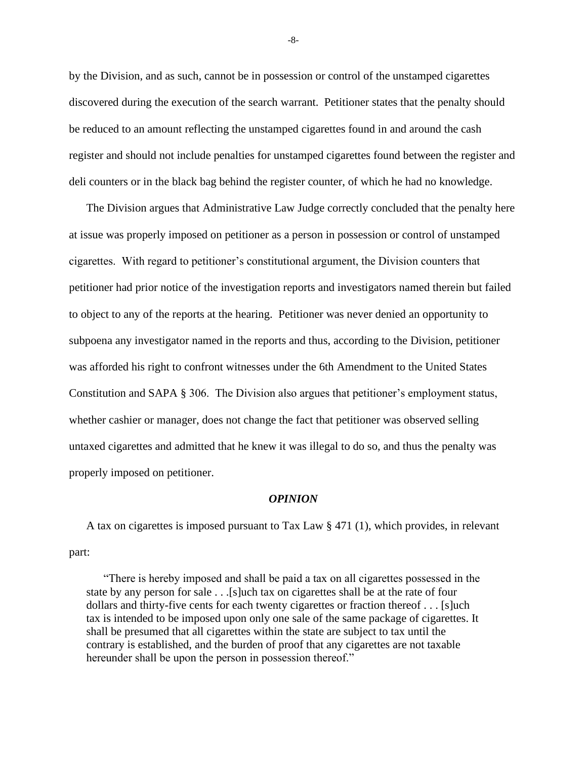by the Division, and as such, cannot be in possession or control of the unstamped cigarettes discovered during the execution of the search warrant. Petitioner states that the penalty should be reduced to an amount reflecting the unstamped cigarettes found in and around the cash register and should not include penalties for unstamped cigarettes found between the register and deli counters or in the black bag behind the register counter, of which he had no knowledge.

The Division argues that Administrative Law Judge correctly concluded that the penalty here at issue was properly imposed on petitioner as a person in possession or control of unstamped cigarettes. With regard to petitioner's constitutional argument, the Division counters that petitioner had prior notice of the investigation reports and investigators named therein but failed to object to any of the reports at the hearing. Petitioner was never denied an opportunity to subpoena any investigator named in the reports and thus, according to the Division, petitioner was afforded his right to confront witnesses under the 6th Amendment to the United States Constitution and SAPA § 306. The Division also argues that petitioner's employment status, whether cashier or manager, does not change the fact that petitioner was observed selling untaxed cigarettes and admitted that he knew it was illegal to do so, and thus the penalty was properly imposed on petitioner.

#### *OPINION*

A tax on cigarettes is imposed pursuant to Tax Law § 471 (1), which provides, in relevant part:

"There is hereby imposed and shall be paid a tax on all cigarettes possessed in the state by any person for sale . . .[s]uch tax on cigarettes shall be at the rate of four dollars and thirty-five cents for each twenty cigarettes or fraction thereof . . . [s]uch tax is intended to be imposed upon only one sale of the same package of cigarettes. It shall be presumed that all cigarettes within the state are subject to tax until the contrary is established, and the burden of proof that any cigarettes are not taxable hereunder shall be upon the person in possession thereof."

-8-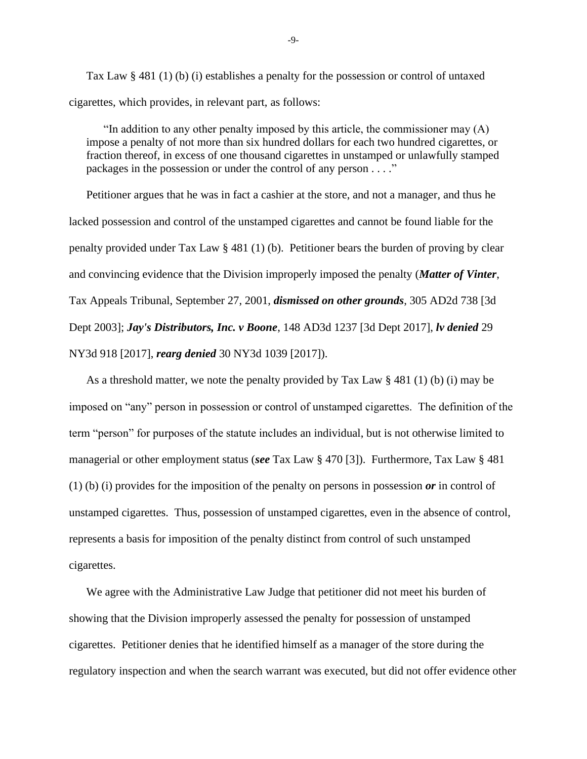Tax Law § 481 (1) (b) (i) establishes a penalty for the possession or control of untaxed cigarettes, which provides, in relevant part, as follows:

"In addition to any other penalty imposed by this article, the commissioner may  $(A)$ impose a penalty of not more than six hundred dollars for each two hundred cigarettes, or fraction thereof, in excess of one thousand cigarettes in unstamped or unlawfully stamped packages in the possession or under the control of any person . . . ."

Petitioner argues that he was in fact a cashier at the store, and not a manager, and thus he lacked possession and control of the unstamped cigarettes and cannot be found liable for the penalty provided under Tax Law § 481 (1) (b). Petitioner bears the burden of proving by clear and convincing evidence that the Division improperly imposed the penalty (*Matter of Vinter*, Tax Appeals Tribunal, September 27, 2001, *dismissed on other grounds*, 305 AD2d 738 [3d Dept 2003]; *Jay's Distributors, Inc. v Boone*, 148 AD3d 1237 [3d Dept 2017], *lv denied* 29 NY3d 918 [2017], *rearg denied* 30 NY3d 1039 [2017]).

As a threshold matter, we note the penalty provided by Tax Law § 481 (1) (b) (i) may be imposed on "any" person in possession or control of unstamped cigarettes. The definition of the term "person" for purposes of the statute includes an individual, but is not otherwise limited to managerial or other employment status (*see* Tax Law § 470 [3]). Furthermore, Tax Law § 481 (1) (b) (i) provides for the imposition of the penalty on persons in possession *or* in control of unstamped cigarettes. Thus, possession of unstamped cigarettes, even in the absence of control, represents a basis for imposition of the penalty distinct from control of such unstamped cigarettes.

We agree with the Administrative Law Judge that petitioner did not meet his burden of showing that the Division improperly assessed the penalty for possession of unstamped cigarettes. Petitioner denies that he identified himself as a manager of the store during the regulatory inspection and when the search warrant was executed, but did not offer evidence other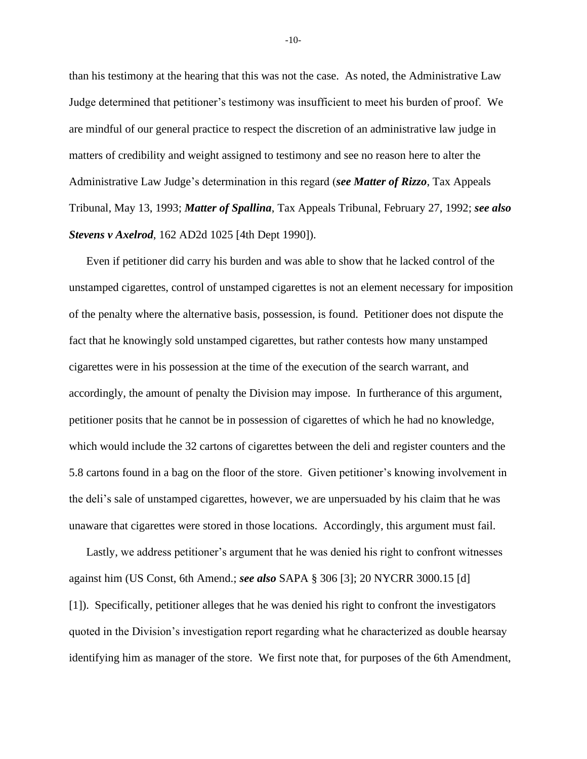than his testimony at the hearing that this was not the case. As noted, the Administrative Law Judge determined that petitioner's testimony was insufficient to meet his burden of proof. We are mindful of our general practice to respect the discretion of an administrative law judge in matters of credibility and weight assigned to testimony and see no reason here to alter the Administrative Law Judge's determination in this regard (*see Matter of Rizzo*, Tax Appeals Tribunal, May 13, 1993; *Matter of Spallina*, Tax Appeals Tribunal, February 27, 1992; *see also Stevens v Axelrod*, 162 AD2d 1025 [4th Dept 1990]).

Even if petitioner did carry his burden and was able to show that he lacked control of the unstamped cigarettes, control of unstamped cigarettes is not an element necessary for imposition of the penalty where the alternative basis, possession, is found. Petitioner does not dispute the fact that he knowingly sold unstamped cigarettes, but rather contests how many unstamped cigarettes were in his possession at the time of the execution of the search warrant, and accordingly, the amount of penalty the Division may impose. In furtherance of this argument, petitioner posits that he cannot be in possession of cigarettes of which he had no knowledge, which would include the 32 cartons of cigarettes between the deli and register counters and the 5.8 cartons found in a bag on the floor of the store. Given petitioner's knowing involvement in the deli's sale of unstamped cigarettes, however, we are unpersuaded by his claim that he was unaware that cigarettes were stored in those locations. Accordingly, this argument must fail.

Lastly, we address petitioner's argument that he was denied his right to confront witnesses against him (US Const, 6th Amend.; *see also* SAPA § 306 [3]; 20 NYCRR 3000.15 [d] [1]). Specifically, petitioner alleges that he was denied his right to confront the investigators quoted in the Division's investigation report regarding what he characterized as double hearsay identifying him as manager of the store. We first note that, for purposes of the 6th Amendment,

-10-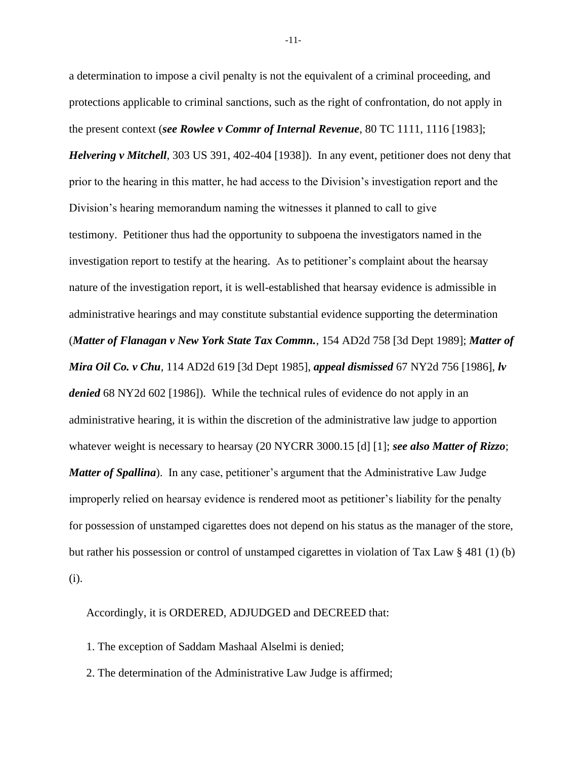a determination to impose a civil penalty is not the equivalent of a criminal proceeding, and protections applicable to criminal sanctions, such as the right of confrontation, do not apply in the present context (*see Rowlee v Commr of Internal Revenue*, 80 TC 1111, 1116 [1983]; *Helvering v Mitchell*, 303 US 391, 402-404 [1938]). In any event, petitioner does not deny that prior to the hearing in this matter, he had access to the Division's investigation report and the Division's hearing memorandum naming the witnesses it planned to call to give testimony. Petitioner thus had the opportunity to subpoena the investigators named in the investigation report to testify at the hearing. As to petitioner's complaint about the hearsay nature of the investigation report, it is well-established that hearsay evidence is admissible in administrative hearings and may constitute substantial evidence supporting the determination (*Matter of Flanagan v New York State Tax Commn.*, 154 AD2d 758 [3d Dept 1989]; *Matter of Mira Oil Co. v Chu*, 114 AD2d 619 [3d Dept 1985], *appeal dismissed* 67 NY2d 756 [1986], *lv denied* 68 NY2d 602 [1986]). While the technical rules of evidence do not apply in an administrative hearing, it is within the discretion of the administrative law judge to apportion whatever weight is necessary to hearsay (20 NYCRR 3000.15 [d] [1]; *see also Matter of Rizzo*; *Matter of Spallina*). In any case, petitioner's argument that the Administrative Law Judge improperly relied on hearsay evidence is rendered moot as petitioner's liability for the penalty for possession of unstamped cigarettes does not depend on his status as the manager of the store, but rather his possession or control of unstamped cigarettes in violation of Tax Law § 481 (1) (b) (i).

Accordingly, it is ORDERED, ADJUDGED and DECREED that:

- 1. The exception of Saddam Mashaal Alselmi is denied;
- 2. The determination of the Administrative Law Judge is affirmed;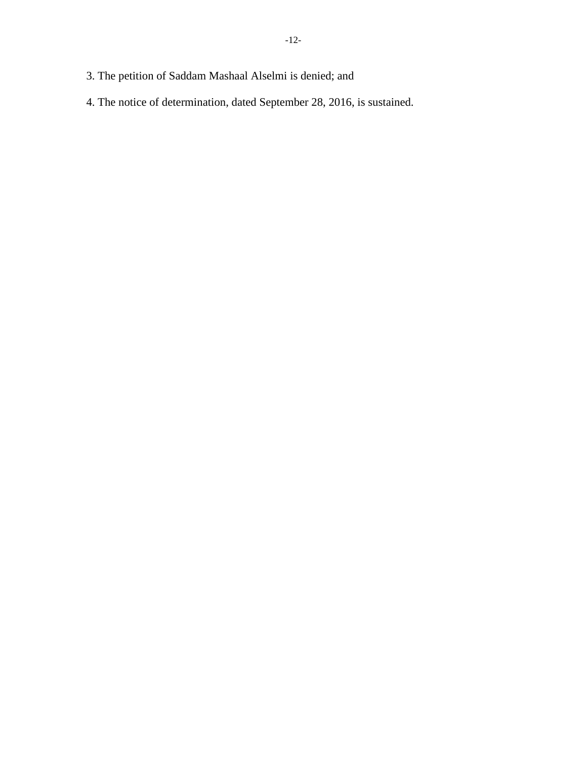- 3. The petition of Saddam Mashaal Alselmi is denied; and
- 4. The notice of determination, dated September 28, 2016, is sustained.